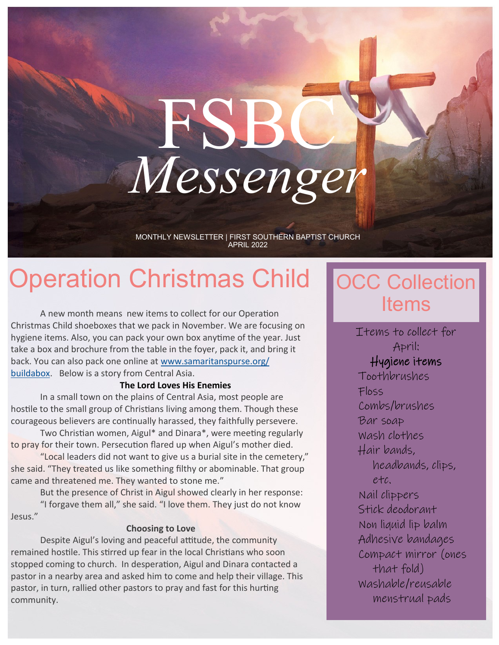# FSBC *Messenger*

MONTHLY NEWSLETTER | FIRST SOUTHERN BAPTIST CHURCH APRIL 2022

# Operation Christmas Child

A new month means new items to collect for our Operation Christmas Child shoeboxes that we pack in November. We are focusing on hygiene items. Also, you can pack your own box anytime of the year. Just take a box and brochure from the table in the foyer, pack it, and bring it back. You can also pack one online at [www.samaritanspurse.org/](http://www.samaritanspurse.org/buildabox) [buildabox.](http://www.samaritanspurse.org/buildabox) Below is a story from Central Asia.

#### **The Lord Loves His Enemies**

In a small town on the plains of Central Asia, most people are hostile to the small group of Christians living among them. Though these courageous believers are continually harassed, they faithfully persevere.

Two Christian women, Aigul\* and Dinara\*, were meeting regularly to pray for their town. Persecution flared up when Aigul's mother died.

"Local leaders did not want to give us a burial site in the cemetery," she said. "They treated us like something filthy or abominable. That group came and threatened me. They wanted to stone me."

But the presence of Christ in Aigul showed clearly in her response: "I forgave them all," she said. "I love them. They just do not know

Jesus."

#### **Choosing to Love**

Despite Aigul's loving and peaceful attitude, the community remained hostile. This stirred up fear in the local Christians who soon stopped coming to church. In desperation, Aigul and Dinara contacted a pastor in a nearby area and asked him to come and help their village. This pastor, in turn, rallied other pastors to pray and fast for this hurting community.

### **OCC Collection** Items

Items to collect for April: Hygiene items Toothbrushes Floss Combs/brushes Bar soap Wash clothes Hair bands, headbands, clips, etc. Nail clippers Stick deodorant Non liquid lip balm Adhesive bandages Compact mirror (ones that fold) Washable/reusable menstrual pads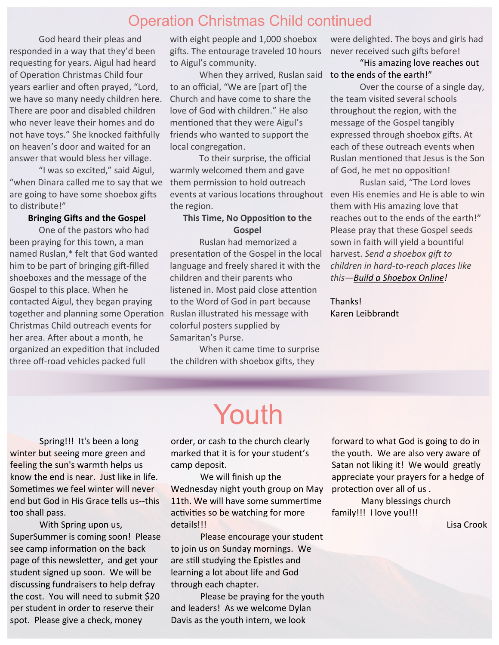### Operation Christmas Child continued

God heard their pleas and responded in a way that they'd been requesting for years. Aigul had heard of Operation Christmas Child four years earlier and often prayed, "Lord, we have so many needy children here. There are poor and disabled children who never leave their homes and do not have toys." She knocked faithfully on heaven's door and waited for an answer that would bless her village.

"I was so excited," said Aigul, "when Dinara called me to say that we are going to have some shoebox gifts to distribute!"

#### **Bringing Gifts and the Gospel**

One of the pastors who had been praying for this town, a man named Ruslan,\* felt that God wanted him to be part of bringing gift-filled shoeboxes and the message of the Gospel to this place. When he contacted Aigul, they began praying together and planning some Operation Christmas Child outreach events for her area. After about a month, he organized an expedition that included three off-road vehicles packed full

with eight people and 1,000 shoebox gifts. The entourage traveled 10 hours to Aigul's community.

When they arrived, Ruslan said to an official, "We are [part of] the Church and have come to share the love of God with children." He also mentioned that they were Aigul's friends who wanted to support the local congregation.

To their surprise, the official warmly welcomed them and gave them permission to hold outreach events at various locations throughout the region.

### **This Time, No Opposition to the Gospel**

Ruslan had memorized a presentation of the Gospel in the local language and freely shared it with the children and their parents who listened in. Most paid close attention to the Word of God in part because Ruslan illustrated his message with colorful posters supplied by Samaritan's Purse.

When it came time to surprise the children with shoebox gifts, they

#### were delighted. The boys and girls had never received such gifts before!

"His amazing love reaches out to the ends of the earth!"

Over the course of a single day, the team visited several schools throughout the region, with the message of the Gospel tangibly expressed through shoebox gifts. At each of these outreach events when Ruslan mentioned that Jesus is the Son of God, he met no opposition!

Ruslan said, "The Lord loves even His enemies and He is able to win them with His amazing love that reaches out to the ends of the earth!" Please pray that these Gospel seeds sown in faith will yield a bountiful harvest. *Send a shoebox gift to children in hard-to-reach places like this[—Build a Shoebox Online!](http://samaritanspurse.org/buildonline)*

Thanks! Karen Leibbrandt

Spring!!! It's been a long winter but seeing more green and feeling the sun's warmth helps us know the end is near. Just like in life. Sometimes we feel winter will never end but God in His Grace tells us--this too shall pass.

With Spring upon us, SuperSummer is coming soon! Please see camp information on the back page of this newsletter, and get your student signed up soon. We will be discussing fundraisers to help defray the cost. You will need to submit \$20 per student in order to reserve their spot. Please give a check, money

Youth

order, or cash to the church clearly marked that it is for your student's camp deposit.

We will finish up the Wednesday night youth group on May 11th. We will have some summertime activities so be watching for more details!!!

Please encourage your student to join us on Sunday mornings. We are still studying the Epistles and learning a lot about life and God through each chapter.

Please be praying for the youth and leaders! As we welcome Dylan Davis as the youth intern, we look

forward to what God is going to do in the youth. We are also very aware of Satan not liking it! We would greatly appreciate your prayers for a hedge of protection over all of us .

Many blessings church family!!! I love you!!!

Lisa Crook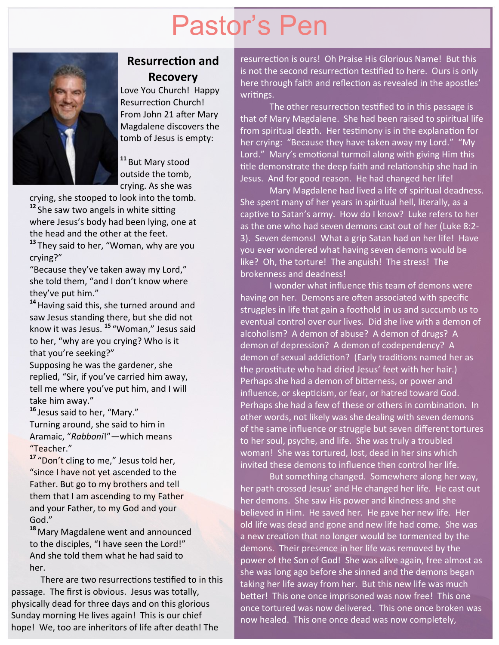# Pastor's Pen



### **Resurrection and Recovery**

Love You Church! Happy Resurrection Church! From John 21 after Mary Magdalene discovers the tomb of Jesus is empty:

**<sup>11</sup>** But Mary stood outside the tomb, crying. As she was

crying, she stooped to look into the tomb.

**<sup>12</sup>** She saw two angels in white sitting where Jesus's body had been lying, one at the head and the other at the feet. **<sup>13</sup>** They said to her, "Woman, why are you

crying?"

"Because they've taken away my Lord," she told them, "and I don't know where they've put him."

**<sup>14</sup>**Having said this, she turned around and saw Jesus standing there, but she did not know it was Jesus. **<sup>15</sup>** "Woman," Jesus said to her, "why are you crying? Who is it that you're seeking?"

Supposing he was the gardener, she replied, "Sir, if you've carried him away, tell me where you've put him, and I will take him away."

**<sup>16</sup>** Jesus said to her, "Mary." Turning around, she said to him in Aramaic, "*Rabboni*!"—which means "Teacher."

<sup>17</sup> "Don't cling to me," Jesus told her, "since I have not yet ascended to the Father. But go to my brothers and tell them that I am ascending to my Father and your Father, to my God and your God."

**<sup>18</sup>** Mary Magdalene went and announced to the disciples, "I have seen the Lord!" And she told them what he had said to her.

There are two resurrections testified to in this passage. The first is obvious. Jesus was totally, physically dead for three days and on this glorious Sunday morning He lives again! This is our chief hope! We, too are inheritors of life after death! The

resurrection is ours! Oh Praise His Glorious Name! But this is not the second resurrection testified to here. Ours is only here through faith and reflection as revealed in the apostles' writings.

The other resurrection testified to in this passage is that of Mary Magdalene. She had been raised to spiritual life from spiritual death. Her testimony is in the explanation for her crying: "Because they have taken away my Lord." "My Lord." Mary's emotional turmoil along with giving Him this title demonstrate the deep faith and relationship she had in Jesus. And for good reason. He had changed her life!

Mary Magdalene had lived a life of spiritual deadness. She spent many of her years in spiritual hell, literally, as a captive to Satan's army. How do I know? Luke refers to her as the one who had seven demons cast out of her (Luke 8:2- 3). Seven demons! What a grip Satan had on her life! Have you ever wondered what having seven demons would be like? Oh, the torture! The anguish! The stress! The brokenness and deadness!

I wonder what influence this team of demons were having on her. Demons are often associated with specific struggles in life that gain a foothold in us and succumb us to eventual control over our lives. Did she live with a demon of alcoholism? A demon of abuse? A demon of drugs? A demon of depression? A demon of codependency? A demon of sexual addiction? (Early traditions named her as the prostitute who had dried Jesus' feet with her hair.) Perhaps she had a demon of bitterness, or power and influence, or skepticism, or fear, or hatred toward God. Perhaps she had a few of these or others in combination. In other words, not likely was she dealing with seven demons of the same influence or struggle but seven different tortures to her soul, psyche, and life. She was truly a troubled woman! She was tortured, lost, dead in her sins which invited these demons to influence then control her life.

But something changed. Somewhere along her way, her path crossed Jesus' and He changed her life. He cast out her demons. She saw His power and kindness and she believed in Him. He saved her. He gave her new life. Her old life was dead and gone and new life had come. She was a new creation that no longer would be tormented by the demons. Their presence in her life was removed by the power of the Son of God! She was alive again, free almost as she was long ago before she sinned and the demons began taking her life away from her. But this new life was much better! This one once imprisoned was now free! This one once tortured was now delivered. This one once broken was now healed. This one once dead was now completely,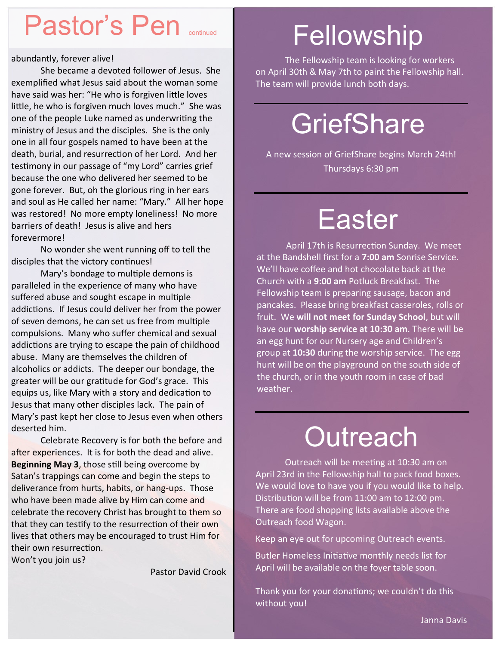### Pastor's Pen **continued**

abundantly, forever alive!

She became a devoted follower of Jesus. She exemplified what Jesus said about the woman some have said was her: "He who is forgiven little loves little, he who is forgiven much loves much." She was one of the people Luke named as underwriting the ministry of Jesus and the disciples. She is the only one in all four gospels named to have been at the death, burial, and resurrection of her Lord. And her testimony in our passage of "my Lord" carries grief because the one who delivered her seemed to be gone forever. But, oh the glorious ring in her ears and soul as He called her name: "Mary." All her hope was restored! No more empty loneliness! No more barriers of death! Jesus is alive and hers forevermore!

No wonder she went running off to tell the disciples that the victory continues!

Mary's bondage to multiple demons is paralleled in the experience of many who have suffered abuse and sought escape in multiple addictions. If Jesus could deliver her from the power of seven demons, he can set us free from multiple compulsions. Many who suffer chemical and sexual addictions are trying to escape the pain of childhood abuse. Many are themselves the children of alcoholics or addicts. The deeper our bondage, the greater will be our gratitude for God's grace. This equips us, like Mary with a story and dedication to Jesus that many other disciples lack. The pain of Mary's past kept her close to Jesus even when others deserted him.

Celebrate Recovery is for both the before and after experiences. It is for both the dead and alive. **Beginning May 3**, those still being overcome by Satan's trappings can come and begin the steps to deliverance from hurts, habits, or hang-ups. Those who have been made alive by Him can come and celebrate the recovery Christ has brought to them so that they can testify to the resurrection of their own lives that others may be encouraged to trust Him for their own resurrection.

Won't you join us?

Pastor David Crook

# Fellowship

The Fellowship team is looking for workers on April 30th & May 7th to paint the Fellowship hall. The team will provide lunch both days.

# **GriefShare**

A new session of GriefShare begins March 24th! Thursdays 6:30 pm

# **Easter**

April 17th is Resurrection Sunday. We meet at the Bandshell first for a **7:00 am** Sonrise Service. We'll have coffee and hot chocolate back at the Church with a **9:00 am** Potluck Breakfast. The Fellowship team is preparing sausage, bacon and pancakes. Please bring breakfast casseroles, rolls or fruit. We **will not meet for Sunday School**, but will have our **worship service at 10:30 am**. There will be an egg hunt for our Nursery age and Children's group at **10:30** during the worship service. The egg hunt will be on the playground on the south side of the church, or in the youth room in case of bad weather.

### **Outreach**

Outreach will be meeting at 10:30 am on April 23rd in the Fellowship hall to pack food boxes. We would love to have you if you would like to help. Distribution will be from 11:00 am to 12:00 pm. There are food shopping lists available above the Outreach food Wagon.

Keep an eye out for upcoming Outreach events.

Butler Homeless Initiative monthly needs list for April will be available on the foyer table soon.

Thank you for your donations; we couldn't do this without you!

Janna Davis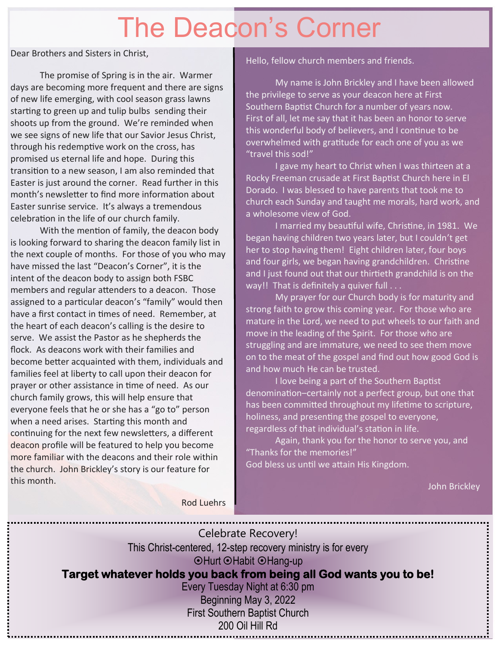# The Deacon's Corner

Dear Brothers and Sisters in Christ,

The promise of Spring is in the air. Warmer days are becoming more frequent and there are signs of new life emerging, with cool season grass lawns starting to green up and tulip bulbs sending their shoots up from the ground. We're reminded when we see signs of new life that our Savior Jesus Christ, through his redemptive work on the cross, has promised us eternal life and hope. During this transition to a new season, I am also reminded that Easter is just around the corner. Read further in this month's newsletter to find more information about Easter sunrise service. It's always a tremendous celebration in the life of our church family.

With the mention of family, the deacon body is looking forward to sharing the deacon family list in the next couple of months. For those of you who may have missed the last "Deacon's Corner", it is the intent of the deacon body to assign both FSBC members and regular attenders to a deacon. Those assigned to a particular deacon's "family" would then have a first contact in times of need. Remember, at the heart of each deacon's calling is the desire to serve. We assist the Pastor as he shepherds the flock. As deacons work with their families and become better acquainted with them, individuals and families feel at liberty to call upon their deacon for prayer or other assistance in time of need. As our church family grows, this will help ensure that everyone feels that he or she has a "go to" person when a need arises. Starting this month and continuing for the next few newsletters, a different deacon profile will be featured to help you become more familiar with the deacons and their role within the church. John Brickley's story is our feature for this month.

#### Hello, fellow church members and friends.

My name is John Brickley and I have been allowed the privilege to serve as your deacon here at First Southern Baptist Church for a number of years now. First of all, let me say that it has been an honor to serve this wonderful body of believers, and I continue to be overwhelmed with gratitude for each one of you as we "travel this sod!"

I gave my heart to Christ when I was thirteen at a Rocky Freeman crusade at First Baptist Church here in El Dorado. I was blessed to have parents that took me to church each Sunday and taught me morals, hard work, and a wholesome view of God.

I married my beautiful wife, Christine, in 1981. We began having children two years later, but I couldn't get her to stop having them! Eight children later, four boys and four girls, we began having grandchildren. Christine and I just found out that our thirtieth grandchild is on the way!! That is definitely a quiver full . . .

My prayer for our Church body is for maturity and strong faith to grow this coming year. For those who are mature in the Lord, we need to put wheels to our faith and move in the leading of the Spirit. For those who are struggling and are immature, we need to see them move on to the meat of the gospel and find out how good God is and how much He can be trusted.

I love being a part of the Southern Baptist denomination–certainly not a perfect group, but one that has been committed throughout my lifetime to scripture, holiness, and presenting the gospel to everyone, regardless of that individual's station in life.

Again, thank you for the honor to serve you, and "Thanks for the memories!" God bless us until we attain His Kingdom.

John Brickley

Rod Luehrs

| Celebrate Recovery!                                                |  |
|--------------------------------------------------------------------|--|
| This Christ-centered, 12-step recovery ministry is for every       |  |
| ⊙Hurt ⊙Habit ⊙Hang-up                                              |  |
| Target whatever holds you back from being all God wants you to be! |  |
| Every Tuesday Night at 6:30 pm                                     |  |
| Beginning May 3, 2022                                              |  |
| <b>First Southern Baptist Church</b>                               |  |
| 200 Oil Hill Rd                                                    |  |
|                                                                    |  |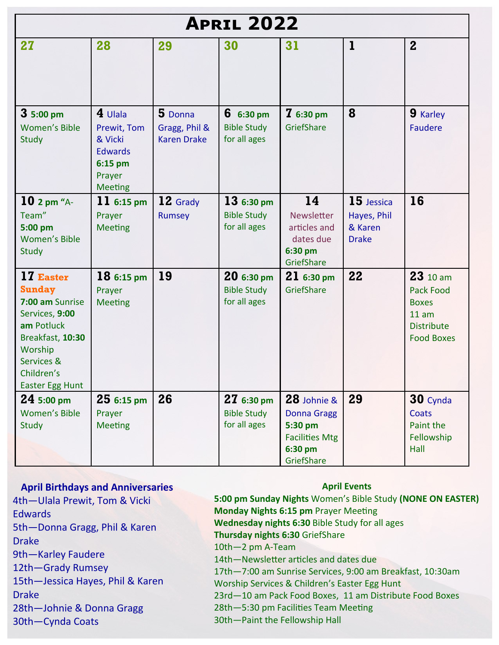| <b>APRIL 2022</b>                                                                                                                                                  |                                                                                              |                                                |                                                           |                                                                                                |                                                      |                                                                                                 |
|--------------------------------------------------------------------------------------------------------------------------------------------------------------------|----------------------------------------------------------------------------------------------|------------------------------------------------|-----------------------------------------------------------|------------------------------------------------------------------------------------------------|------------------------------------------------------|-------------------------------------------------------------------------------------------------|
| 27                                                                                                                                                                 | 28                                                                                           | 29                                             | 30                                                        | 31                                                                                             | ı                                                    | $\mathbf{2}$                                                                                    |
| $35:00 \text{ pm}$<br><b>Women's Bible</b><br>Study                                                                                                                | $4$ Ulala<br>Prewit, Tom<br>& Vicki<br><b>Edwards</b><br>6:15 pm<br>Prayer<br><b>Meeting</b> | 5 Donna<br>Gragg, Phil &<br><b>Karen Drake</b> | $6.6:30 \text{ pm}$<br><b>Bible Study</b><br>for all ages | $76:30 \text{ pm}$<br>GriefShare                                                               | 8                                                    | 9 Karley<br><b>Faudere</b>                                                                      |
| $10$ 2 pm "A-<br>Team"<br>5:00 pm<br><b>Women's Bible</b><br>Study                                                                                                 | 11 $6:15 \text{ pm}$<br>Prayer<br><b>Meeting</b>                                             | 12 Grady<br>Rumsey                             | $136:30 \text{ pm}$<br><b>Bible Study</b><br>for all ages | 14<br>Newsletter<br>articles and<br>dates due<br>6:30 pm<br>GriefShare                         | 15 Jessica<br>Hayes, Phil<br>& Karen<br><b>Drake</b> | 16                                                                                              |
| 17 Easter<br><b>Sunday</b><br>7:00 am Sunrise<br>Services, 9:00<br>am Potluck<br>Breakfast, 10:30<br>Worship<br>Services &<br>Children's<br><b>Easter Egg Hunt</b> | $186:15 \text{ pm}$<br>Prayer<br><b>Meeting</b>                                              | 19                                             | $206:30 \text{ pm}$<br><b>Bible Study</b><br>for all ages | $216:30 \text{ pm}$<br>GriefShare                                                              | 22                                                   | 23 10 am<br><b>Pack Food</b><br><b>Boxes</b><br>11 am<br><b>Distribute</b><br><b>Food Boxes</b> |
| $245:00 \text{ pm}$<br><b>Women's Bible</b><br>Study                                                                                                               | $256:15 \text{ pm}$<br>Prayer<br><b>Meeting</b>                                              | 26                                             | $276:30 \text{ pm}$<br><b>Bible Study</b><br>for all ages | 28 Johnie &<br><b>Donna Gragg</b><br>5:30 pm<br><b>Facilities Mtg</b><br>6:30 pm<br>GriefShare | 29                                                   | 30 Cynda<br>Coats<br>Paint the<br>Fellowship<br>Hall                                            |

### **April Birthdays and Anniversaries**

4th—Ulala Prewit, Tom & Vicki Edwards 5th—Donna Gragg, Phil & Karen Drake 9th—Karley Faudere 12th—Grady Rumsey 15th—Jessica Hayes, Phil & Karen

Drake

28th—Johnie & Donna Gragg

30th—Cynda Coats

#### **April Events**

**5:00 pm Sunday Nights** Women's Bible Study **(NONE ON EASTER) Monday Nights 6:15 pm** Prayer Meeting **Wednesday nights 6:30** Bible Study for all ages **Thursday nights 6:30** GriefShare 10th—2 pm A-Team 14th—Newsletter articles and dates due 17th—7:00 am Sunrise Services, 9:00 am Breakfast, 10:30am Worship Services & Children's Easter Egg Hunt 23rd—10 am Pack Food Boxes, 11 am Distribute Food Boxes 28th—5:30 pm Facilities Team Meeting 30th—Paint the Fellowship Hall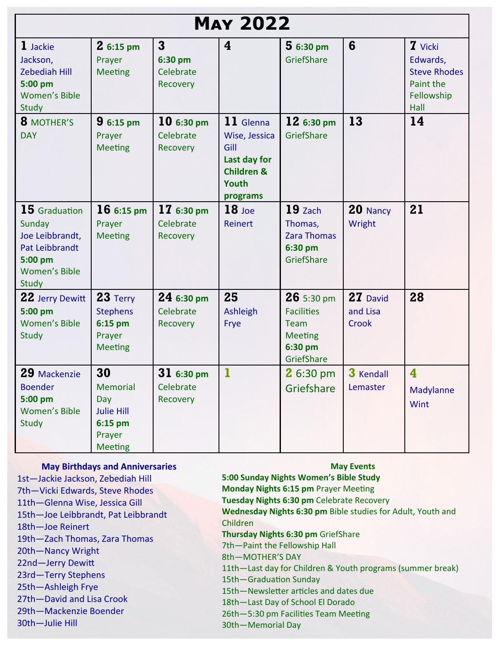| <b>MAY 2022</b>                                                                                            |                                                                                          |                                                  |                                                                                                         |                                                                                      |                               |                                                                                      |
|------------------------------------------------------------------------------------------------------------|------------------------------------------------------------------------------------------|--------------------------------------------------|---------------------------------------------------------------------------------------------------------|--------------------------------------------------------------------------------------|-------------------------------|--------------------------------------------------------------------------------------|
| 1 Jackie<br>Jackson,<br><b>Zebediah Hill</b><br>5:00 pm<br>Women's Bible<br>Study                          | $26:15 \text{ pm}$<br>Prayer<br><b>Meeting</b>                                           | $\mathbf{3}$<br>6:30 pm<br>Celebrate<br>Recovery | 4                                                                                                       | $56:30 \text{ pm}$<br>GriefShare                                                     | 6                             | <b>7</b> Vicki<br>Edwards,<br><b>Steve Rhodes</b><br>Paint the<br>Fellowship<br>Hall |
| 8 MOTHER'S<br><b>DAY</b>                                                                                   | $96:15 \text{ pm}$<br>Prayer<br><b>Meeting</b>                                           | $106:30 \text{ pm}$<br>Celebrate<br>Recovery     | 11 Glenna<br>Wise, Jessica<br>Gill<br>Last day for<br><b>Children &amp;</b><br><b>Youth</b><br>programs | $126:30 \text{ pm}$<br>GriefShare                                                    | 13                            | 14                                                                                   |
| $15$ Graduation<br>Sunday<br>Joe Leibbrandt,<br>Pat Leibbrandt<br>5:00 pm<br><b>Women's Bible</b><br>Study | $166:15 \text{ pm}$<br>Prayer<br><b>Meeting</b>                                          | 17 6:30 pm<br>Celebrate<br>Recovery              | $18$ Joe<br><b>Reinert</b>                                                                              | $19$ Zach<br>Thomas,<br><b>Zara Thomas</b><br>6:30 pm<br>GriefShare                  | 20 Nancy<br>Wright            | 21                                                                                   |
| 22 Jerry Dewitt<br>5:00 pm<br><b>Women's Bible</b><br>Study                                                | $23$ Terry<br><b>Stephens</b><br>$6:15$ pm<br>Prayer<br><b>Meeting</b>                   | $246:30 \text{ pm}$<br>Celebrate<br>Recovery     | 25<br>Ashleigh<br>Frye                                                                                  | $26$ 5:30 pm<br><b>Facilities</b><br>Team<br><b>Meeting</b><br>6:30 pm<br>GriefShare | 27 David<br>and Lisa<br>Crook | 28                                                                                   |
| 29 Mackenzie<br><b>Boender</b><br>5:00 pm<br><b>Women's Bible</b><br>Study                                 | 30<br><b>Memorial</b><br>Day<br><b>Julie Hill</b><br>6:15 pm<br>Prayer<br><b>Meeting</b> | 31 6:30 pm<br>Celebrate<br>Recovery              | ı                                                                                                       | 2 6:30 pm<br>Griefshare                                                              | 3 Kendall<br>Lemaster         | $\overline{\mathbf{4}}$<br>Madylanne<br>Wint                                         |

#### **May Birthdays and Anniversaries**

1st—Jackie Jackson, Zebediah Hill 7th—Vicki Edwards, Steve Rhodes 11th—Glenna Wise, Jessica Gill 15th—Joe Leibbrandt, Pat Leibbrandt 18th—Joe Reinert 19th—Zach Thomas, Zara Thomas 20th—Nancy Wright 22nd—Jerry Dewitt 23rd—Terry Stephens 25th—Ashleigh Frye 27th—David and Lisa Crook 29th—Mackenzie Boender 30th—Julie Hill

#### **May Events**

**5:00 Sunday Nights Women's Bible Study Monday Nights 6:15 pm** Prayer Meeting **Tuesday Nights 6:30 pm** Celebrate Recovery **Wednesday Nights 6:30 pm** Bible studies for Adult, Youth and Children **Thursday Nights 6:30 pm** GriefShare 7th—Paint the Fellowship Hall 8th—MOTHER'S DAY 11th—Last day for Children & Youth programs (summer break) 15th—Graduation Sunday 15th—Newsletter articles and dates due

18th—Last Day of School El Dorado

26th—5:30 pm Facilities Team Meeting

30th—Memorial Day